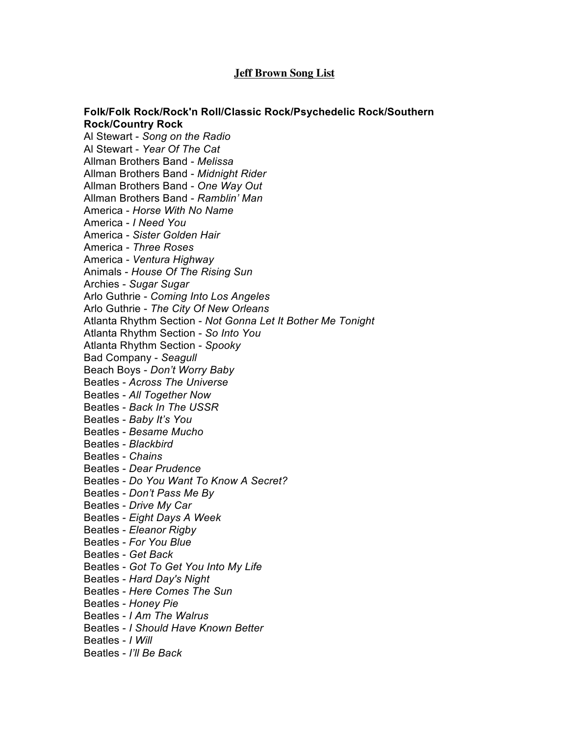## **Jeff Brown Song List**

## **Folk/Folk Rock/Rock'n Roll/Classic Rock/Psychedelic Rock/Southern Rock/Country Rock**

Al Stewart - *Song on the Radio* Al Stewart - *Year Of The Cat* Allman Brothers Band - *Melissa* Allman Brothers Band - *Midnight Rider* Allman Brothers Band - *One Way Out* Allman Brothers Band - *Ramblin' Man* America - *Horse With No Name* America - *I Need You* America - *Sister Golden Hair* America - *Three Roses* America - *Ventura Highway* Animals - *House Of The Rising Sun* Archies - *Sugar Sugar* Arlo Guthrie - *Coming Into Los Angeles* Arlo Guthrie - *The City Of New Orleans* Atlanta Rhythm Section - *Not Gonna Let It Bother Me Tonight* Atlanta Rhythm Section - *So Into You* Atlanta Rhythm Section - *Spooky* Bad Company - *Seagull* Beach Boys - *Don't Worry Baby* Beatles - *Across The Universe* Beatles - *All Together Now* Beatles - *Back In The USSR* Beatles - *Baby It's You* Beatles - *Besame Mucho* Beatles - *Blackbird* Beatles - *Chains* Beatles - *Dear Prudence* Beatles - *Do You Want To Know A Secret?* Beatles - *Don't Pass Me By* Beatles - *Drive My Car* Beatles - *Eight Days A Week* Beatles - *Eleanor Rigby* Beatles - *For You Blue* Beatles - *Get Back* Beatles - *Got To Get You Into My Life* Beatles - *Hard Day's Night* Beatles - *Here Comes The Sun* Beatles - *Honey Pie* Beatles - *I Am The Walrus* Beatles - *I Should Have Known Better* Beatles - *I Will* Beatles - *I'll Be Back*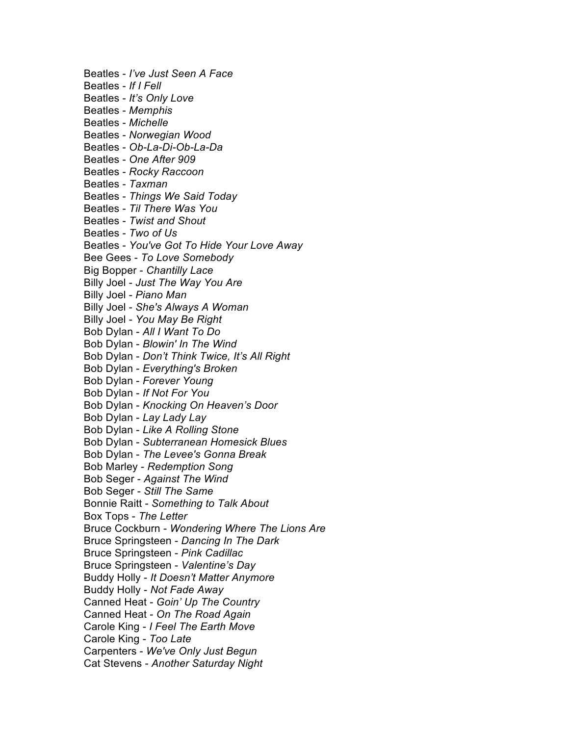Beatles - *I've Just Seen A Face* Beatles - *If I Fell* Beatles - *It's Only Love* Beatles - *Memphis* Beatles - *Michelle* Beatles - *Norwegian Wood* Beatles - *Ob-La-Di-Ob-La-Da* Beatles - *One After 909* Beatles - *Rocky Raccoon* Beatles - *Taxman* Beatles - *Things We Said Today* Beatles - *Til There Was You* Beatles - *Twist and Shout* Beatles - *Two of Us* Beatles - *You've Got To Hide Your Love Away* Bee Gees - *To Love Somebody* Big Bopper - *Chantilly Lace* Billy Joel - *Just The Way You Are* Billy Joel - *Piano Man* Billy Joel - *She's Always A Woman* Billy Joel - *You May Be Right* Bob Dylan - *All I Want To Do* Bob Dylan - *Blowin' In The Wind* Bob Dylan - *Don't Think Twice, It's All Right* Bob Dylan - *Everything's Broken* Bob Dylan - *Forever Young* Bob Dylan - *If Not For You* Bob Dylan - *Knocking On Heaven's Door* Bob Dylan - *Lay Lady Lay* Bob Dylan - *Like A Rolling Stone* Bob Dylan - *Subterranean Homesick Blues* Bob Dylan - *The Levee's Gonna Break* Bob Marley - *Redemption Song* Bob Seger - *Against The Wind* Bob Seger - *Still The Same* Bonnie Raitt - *Something to Talk About* Box Tops - *The Letter* Bruce Cockburn - *Wondering Where The Lions Are* Bruce Springsteen - *Dancing In The Dark* Bruce Springsteen - *Pink Cadillac* Bruce Springsteen - *Valentine's Day* Buddy Holly - *It Doesn't Matter Anymore* Buddy Holly - *Not Fade Away* Canned Heat - *Goin' Up The Country* Canned Heat - *On The Road Again* Carole King - *I Feel The Earth Move* Carole King - *Too Late* Carpenters - *We've Only Just Begun* Cat Stevens - *Another Saturday Night*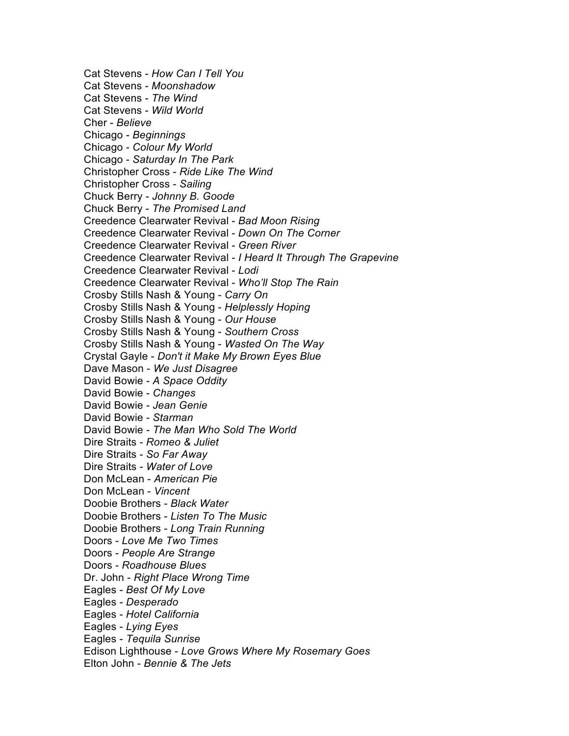Cat Stevens - *How Can I Tell You* Cat Stevens - *Moonshadow* Cat Stevens - *The Wind* Cat Stevens - *Wild World* Cher - *Believe* Chicago - *Beginnings* Chicago - *Colour My World* Chicago - *Saturday In The Park* Christopher Cross - *Ride Like The Wind* Christopher Cross - *Sailing* Chuck Berry - *Johnny B. Goode* Chuck Berry - *The Promised Land* Creedence Clearwater Revival - *Bad Moon Rising* Creedence Clearwater Revival - *Down On The Corner* Creedence Clearwater Revival - *Green River* Creedence Clearwater Revival - *I Heard It Through The Grapevine* Creedence Clearwater Revival - *Lodi* Creedence Clearwater Revival - *Who'll Stop The Rain* Crosby Stills Nash & Young - *Carry On* Crosby Stills Nash & Young - *Helplessly Hoping* Crosby Stills Nash & Young - *Our House* Crosby Stills Nash & Young - *Southern Cross* Crosby Stills Nash & Young - *Wasted On The Way* Crystal Gayle - *Don't it Make My Brown Eyes Blue* Dave Mason - *We Just Disagree* David Bowie - *A Space Oddity* David Bowie - *Changes* David Bowie - *Jean Genie* David Bowie - *Starman* David Bowie - *The Man Who Sold The World* Dire Straits - *Romeo & Juliet* Dire Straits - *So Far Away* Dire Straits - *Water of Love* Don McLean - *American Pie* Don McLean - *Vincent* Doobie Brothers - *Black Water* Doobie Brothers - *Listen To The Music* Doobie Brothers - *Long Train Running* Doors - *Love Me Two Times* Doors - *People Are Strange* Doors - *Roadhouse Blues* Dr. John - *Right Place Wrong Time* Eagles - *Best Of My Love* Eagles - *Desperado* Eagles - *Hotel California* Eagles - *Lying Eyes* Eagles - *Tequila Sunrise* Edison Lighthouse - *Love Grows Where My Rosemary Goes* Elton John - *Bennie & The Jets*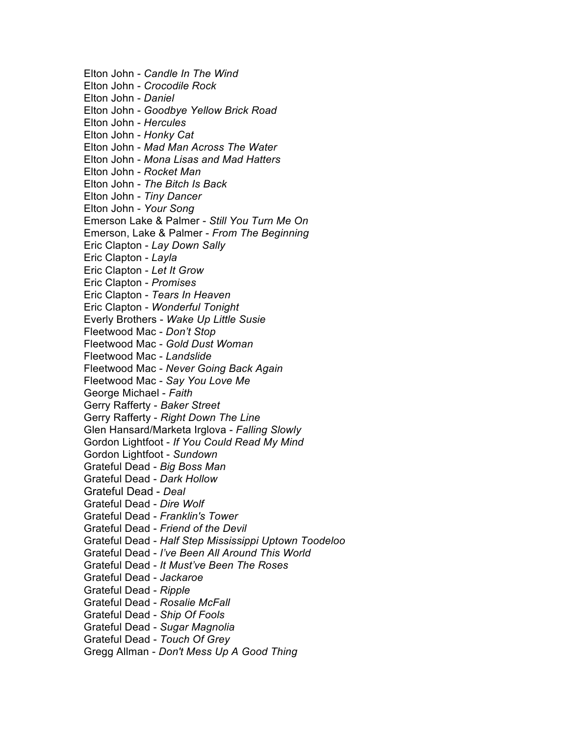Elton John - *Candle In The Wind* Elton John - *Crocodile Rock* Elton John - *Daniel* Elton John - *Goodbye Yellow Brick Road* Elton John - *Hercules* Elton John - *Honky Cat* Elton John - *Mad Man Across The Water* Elton John - *Mona Lisas and Mad Hatters* Elton John - *Rocket Man* Elton John - *The Bitch Is Back* Elton John - *Tiny Dancer* Elton John - *Your Song* Emerson Lake & Palmer - *Still You Turn Me On* Emerson, Lake & Palmer - *From The Beginning* Eric Clapton - *Lay Down Sally* Eric Clapton - *Layla* Eric Clapton - *Let It Grow* Eric Clapton - *Promises* Eric Clapton - *Tears In Heaven* Eric Clapton - *Wonderful Tonight* Everly Brothers - *Wake Up Little Susie* Fleetwood Mac - *Don't Stop* Fleetwood Mac - *Gold Dust Woman* Fleetwood Mac - *Landslide* Fleetwood Mac - *Never Going Back Again* Fleetwood Mac - *Say You Love Me* George Michael - *Faith* Gerry Rafferty - *Baker Street* Gerry Rafferty - *Right Down The Line* Glen Hansard/Marketa Irglova - *Falling Slowly* Gordon Lightfoot - *If You Could Read My Mind* Gordon Lightfoot - *Sundown* Grateful Dead - *Big Boss Man* Grateful Dead - *Dark Hollow* Grateful Dead - *Deal* Grateful Dead - *Dire Wolf* Grateful Dead - *Franklin's Tower* Grateful Dead - *Friend of the Devil* Grateful Dead - *Half Step Mississippi Uptown Toodeloo* Grateful Dead - *I've Been All Around This World* Grateful Dead - *It Must've Been The Roses* Grateful Dead - *Jackaroe* Grateful Dead - *Ripple* Grateful Dead - *Rosalie McFall* Grateful Dead - *Ship Of Fools* Grateful Dead - *Sugar Magnolia* Grateful Dead - *Touch Of Grey* Gregg Allman - *Don't Mess Up A Good Thing*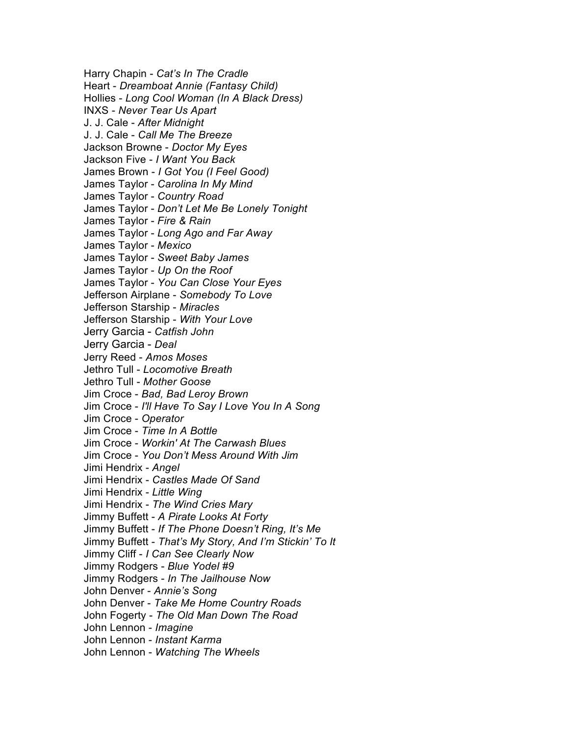Harry Chapin - *Cat's In The Cradle* Heart - *Dreamboat Annie (Fantasy Child)*  Hollies - *Long Cool Woman (In A Black Dress)* INXS - *Never Tear Us Apart* J. J. Cale - *After Midnight* J. J. Cale - *Call Me The Breeze* Jackson Browne - *Doctor My Eyes* Jackson Five - *I Want You Back* James Brown - *I Got You (I Feel Good)* James Taylor - *Carolina In My Mind* James Taylor - *Country Road* James Taylor - *Don't Let Me Be Lonely Tonight* James Taylor - *Fire & Rain* James Taylor - *Long Ago and Far Away* James Taylor - *Mexico* James Taylor - *Sweet Baby James* James Taylor - *Up On the Roof* James Taylor - *You Can Close Your Eyes* Jefferson Airplane - *Somebody To Love* Jefferson Starship - *Miracles* Jefferson Starship - *With Your Love* Jerry Garcia - *Catfish John* Jerry Garcia - *Deal* Jerry Reed - *Amos Moses* Jethro Tull - *Locomotive Breath* Jethro Tull - *Mother Goose* Jim Croce - *Bad, Bad Leroy Brown* Jim Croce - *I'll Have To Say I Love You In A Song* Jim Croce - *Operator* Jim Croce - *Time In A Bottle* Jim Croce - *Workin' At The Carwash Blues* Jim Croce - *You Don't Mess Around With Jim* Jimi Hendrix - *Angel* Jimi Hendrix - *Castles Made Of Sand* Jimi Hendrix - *Little Wing* Jimi Hendrix - *The Wind Cries Mary* Jimmy Buffett - *A Pirate Looks At Forty* Jimmy Buffett - *If The Phone Doesn't Ring, It's Me* Jimmy Buffett - *That's My Story, And I'm Stickin' To It* Jimmy Cliff - *I Can See Clearly Now* Jimmy Rodgers - *Blue Yodel #9* Jimmy Rodgers - *In The Jailhouse Now* John Denver - *Annie's Song* John Denver - *Take Me Home Country Roads* John Fogerty - *The Old Man Down The Road* John Lennon - *Imagine* John Lennon - *Instant Karma* John Lennon - *Watching The Wheels*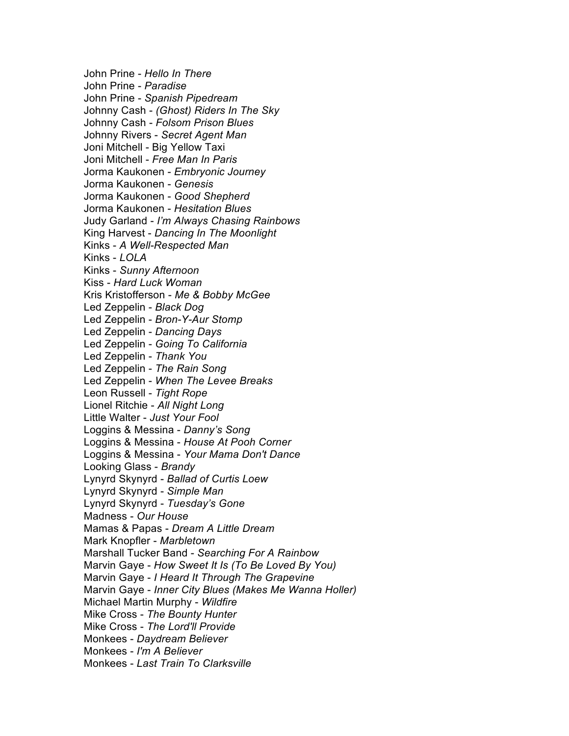John Prine - *Hello In There* John Prine - *Paradise* John Prine - *Spanish Pipedream* Johnny Cash - *(Ghost) Riders In The Sky* Johnny Cash - *Folsom Prison Blues* Johnny Rivers - *Secret Agent Man* Joni Mitchell - Big Yellow Taxi Joni Mitchell - *Free Man In Paris* Jorma Kaukonen - *Embryonic Journey* Jorma Kaukonen - *Genesis* Jorma Kaukonen - *Good Shepherd* Jorma Kaukonen - *Hesitation Blues* Judy Garland - *I'm Always Chasing Rainbows* King Harvest - *Dancing In The Moonlight* Kinks - *A Well-Respected Man* Kinks - *LOLA* Kinks - *Sunny Afternoon* Kiss - *Hard Luck Woman* Kris Kristofferson - *Me & Bobby McGee* Led Zeppelin - *Black Dog* Led Zeppelin - *Bron-Y-Aur Stomp* Led Zeppelin - *Dancing Days* Led Zeppelin - *Going To California* Led Zeppelin - *Thank You* Led Zeppelin - *The Rain Song* Led Zeppelin - *When The Levee Breaks* Leon Russell - *Tight Rope* Lionel Ritchie - *All Night Long* Little Walter - *Just Your Fool* Loggins & Messina - *Danny's Song* Loggins & Messina - *House At Pooh Corner* Loggins & Messina - *Your Mama Don't Dance* Looking Glass - *Brandy* Lynyrd Skynyrd - *Ballad of Curtis Loew* Lynyrd Skynyrd - *Simple Man* Lynyrd Skynyrd - *Tuesday's Gone* Madness - *Our House* Mamas & Papas - *Dream A Little Dream* Mark Knopfler - *Marbletown* Marshall Tucker Band - *Searching For A Rainbow* Marvin Gaye - *How Sweet It Is (To Be Loved By You)* Marvin Gaye - *I Heard It Through The Grapevine* Marvin Gaye - *Inner City Blues (Makes Me Wanna Holler)* Michael Martin Murphy - *Wildfire* Mike Cross - *The Bounty Hunter* Mike Cross - *The Lord'll Provide* Monkees - *Daydream Believer* Monkees - *I'm A Believer* Monkees - *Last Train To Clarksville*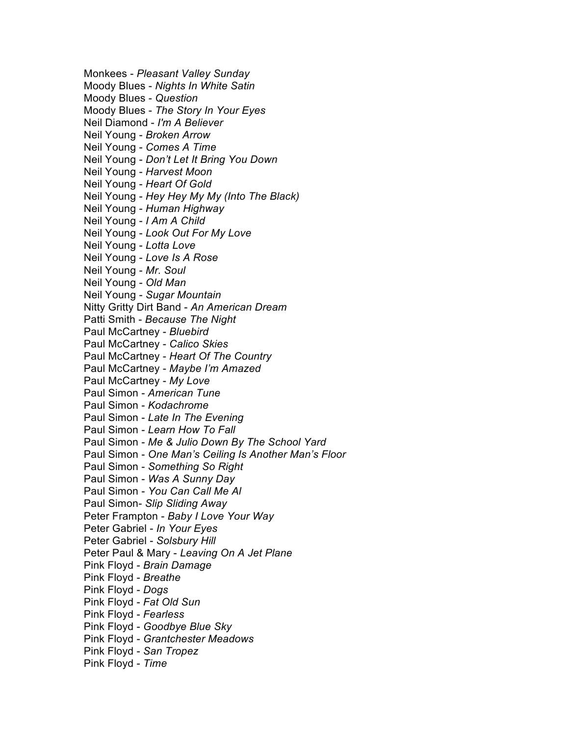Monkees - *Pleasant Valley Sunday* Moody Blues - *Nights In White Satin* Moody Blues - *Question* Moody Blues - *The Story In Your Eyes* Neil Diamond - *I'm A Believer* Neil Young - *Broken Arrow* Neil Young - *Comes A Time* Neil Young - *Don't Let It Bring You Down* Neil Young - *Harvest Moon* Neil Young - *Heart Of Gold* Neil Young - *Hey Hey My My (Into The Black)* Neil Young - *Human Highway* Neil Young - *I Am A Child* Neil Young - *Look Out For My Love* Neil Young - *Lotta Love* Neil Young - *Love Is A Rose* Neil Young - *Mr. Soul* Neil Young - *Old Man* Neil Young - *Sugar Mountain* Nitty Gritty Dirt Band - *An American Dream* Patti Smith - *Because The Night* Paul McCartney - *Bluebird* Paul McCartney - *Calico Skies* Paul McCartney - *Heart Of The Country* Paul McCartney - *Maybe I'm Amazed* Paul McCartney - *My Love* Paul Simon - *American Tune* Paul Simon - *Kodachrome* Paul Simon - *Late In The Evening* Paul Simon - *Learn How To Fall* Paul Simon - *Me & Julio Down By The School Yard* Paul Simon - *One Man's Ceiling Is Another Man's Floor* Paul Simon - *Something So Right* Paul Simon - *Was A Sunny Day* Paul Simon - *You Can Call Me Al* Paul Simon- *Slip Sliding Away* Peter Frampton - *Baby I Love Your Way* Peter Gabriel - *In Your Eyes* Peter Gabriel - *Solsbury Hill* Peter Paul & Mary - *Leaving On A Jet Plane* Pink Floyd - *Brain Damage* Pink Floyd - *Breathe* Pink Floyd - *Dogs* Pink Floyd - *Fat Old Sun* Pink Floyd - *Fearless* Pink Floyd - *Goodbye Blue Sky* Pink Floyd - *Grantchester Meadows* Pink Floyd - *San Tropez* Pink Floyd - *Time*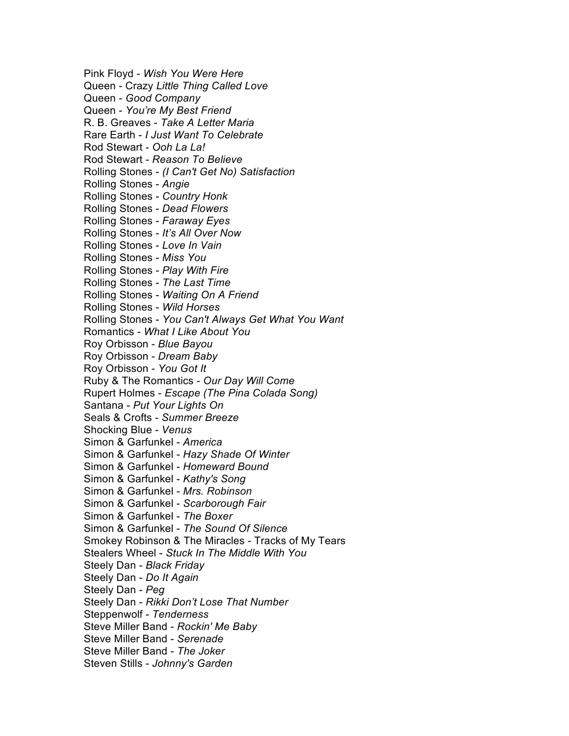Pink Floyd - *Wish You Were Here* Queen - Crazy *Little Thing Called Love* Queen - *Good Company* Queen - *You're My Best Friend* R. B. Greaves - *Take A Letter Maria* Rare Earth - *I Just Want To Celebrate* Rod Stewart - *Ooh La La!* Rod Stewart - *Reason To Believe* Rolling Stones - *(I Can't Get No) Satisfaction* Rolling Stones - *Angie* Rolling Stones - *Country Honk* Rolling Stones - *Dead Flowers* Rolling Stones - *Faraway Eyes* Rolling Stones - *It's All Over Now* Rolling Stones - *Love In Vain* Rolling Stones - *Miss You* Rolling Stones - *Play With Fire* Rolling Stones - *The Last Time* Rolling Stones - *Waiting On A Friend* Rolling Stones - *Wild Horses* Rolling Stones - *You Can't Always Get What You Want* Romantics - *What I Like About You* Roy Orbisson - *Blue Bayou* Roy Orbisson - *Dream Baby* Roy Orbisson - *You Got It* Ruby & The Romantics - *Our Day Will Come* Rupert Holmes - *Escape (The Pina Colada Song)* Santana - *Put Your Lights On* Seals & Crofts - *Summer Breeze* Shocking Blue - *Venus* Simon & Garfunkel - *America* Simon & Garfunkel - *Hazy Shade Of Winter* Simon & Garfunkel - *Homeward Bound* Simon & Garfunkel - *Kathy's Song* Simon & Garfunkel - *Mrs. Robinson* Simon & Garfunkel - *Scarborough Fair* Simon & Garfunkel - *The Boxer* Simon & Garfunkel - *The Sound Of Silence* Smokey Robinson & The Miracles - Tracks of My Tears Stealers Wheel - *Stuck In The Middle With You* Steely Dan - *Black Friday* Steely Dan - *Do It Again* Steely Dan - *Peg* Steely Dan - *Rikki Don't Lose That Number* Steppenwolf - *Tenderness* Steve Miller Band - *Rockin' Me Baby* Steve Miller Band - *Serenade* Steve Miller Band - *The Joker* Steven Stills - *Johnny's Garden*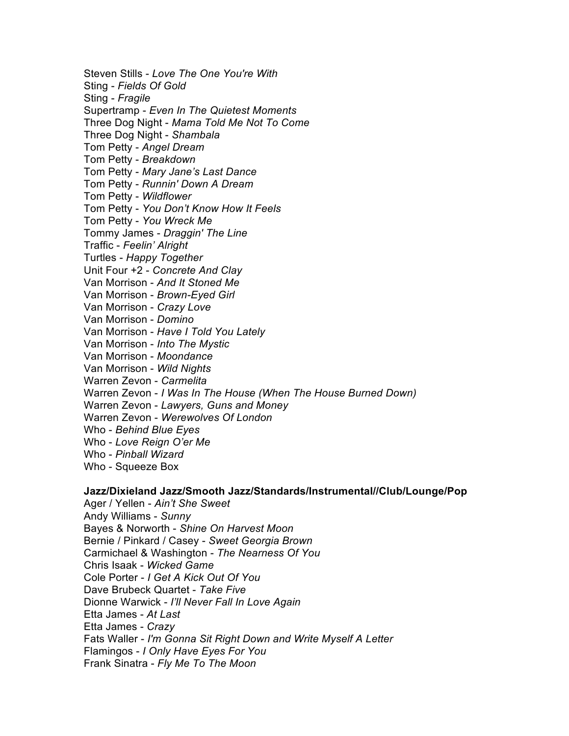Steven Stills - *Love The One You're With* Sting - *Fields Of Gold* Sting - *Fragile* Supertramp - *Even In The Quietest Moments* Three Dog Night - *Mama Told Me Not To Come* Three Dog Night - *Shambala* Tom Petty - *Angel Dream* Tom Petty - *Breakdown* Tom Petty - *Mary Jane's Last Dance* Tom Petty - *Runnin' Down A Dream* Tom Petty - *Wildflower* Tom Petty - *You Don't Know How It Feels* Tom Petty - *You Wreck Me* Tommy James - *Draggin' The Line* Traffic - *Feelin' Alright* Turtles - *Happy Together* Unit Four +2 - *Concrete And Clay* Van Morrison - *And It Stoned Me* Van Morrison - *Brown-Eyed Girl* Van Morrison - *Crazy Love* Van Morrison - *Domino* Van Morrison - *Have I Told You Lately* Van Morrison - *Into The Mystic* Van Morrison - *Moondance* Van Morrison - *Wild Nights* Warren Zevon - *Carmelita* Warren Zevon - *I Was In The House (When The House Burned Down)* Warren Zevon - *Lawyers, Guns and Money* Warren Zevon - *Werewolves Of London* Who - *Behind Blue Eyes* Who - *Love Reign O'er Me* Who - *Pinball Wizard* Who - Squeeze Box

# **Jazz/Dixieland Jazz/Smooth Jazz/Standards/Instrumental//Club/Lounge/Pop**

Ager / Yellen - *Ain't She Sweet* Andy Williams - *Sunny* Bayes & Norworth - *Shine On Harvest Moon* Bernie / Pinkard / Casey - *Sweet Georgia Brown* Carmichael & Washington - *The Nearness Of You* Chris Isaak - *Wicked Game* Cole Porter - *I Get A Kick Out Of You* Dave Brubeck Quartet - *Take Five* Dionne Warwick - *I'll Never Fall In Love Again* Etta James - *At Last* Etta James - *Crazy* Fats Waller - *I'm Gonna Sit Right Down and Write Myself A Letter* Flamingos - *I Only Have Eyes For You* Frank Sinatra - *Fly Me To The Moon*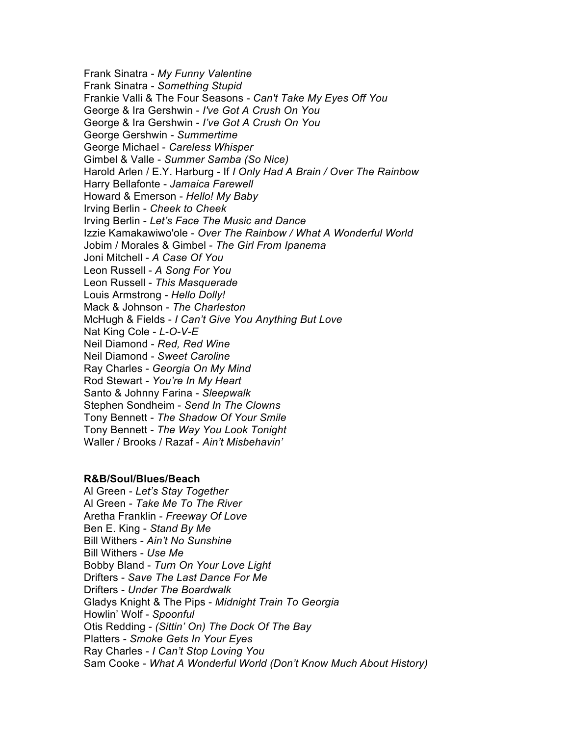Frank Sinatra - *My Funny Valentine* Frank Sinatra - *Something Stupid* Frankie Valli & The Four Seasons - *Can't Take My Eyes Off You* George & Ira Gershwin - *I've Got A Crush On You* George & Ira Gershwin - *I've Got A Crush On You* George Gershwin - *Summertime* George Michael - *Careless Whisper* Gimbel & Valle - *Summer Samba (So Nice)* Harold Arlen / E.Y. Harburg - If *I Only Had A Brain / Over The Rainbow* Harry Bellafonte - *Jamaica Farewell* Howard & Emerson - *Hello! My Baby* Irving Berlin - *Cheek to Cheek* Irving Berlin - *Let's Face The Music and Dance* Izzie Kamakawiwo'ole - *Over The Rainbow / What A Wonderful World* Jobim / Morales & Gimbel - *The Girl From Ipanema* Joni Mitchell - *A Case Of You* Leon Russell - *A Song For You* Leon Russell - *This Masquerade* Louis Armstrong - *Hello Dolly!* Mack & Johnson - *The Charleston* McHugh & Fields - *I Can't Give You Anything But Love* Nat King Cole - *L-O-V-E* Neil Diamond - *Red, Red Wine* Neil Diamond - *Sweet Caroline* Ray Charles - *Georgia On My Mind* Rod Stewart - *You're In My Heart* Santo & Johnny Farina - *Sleepwalk* Stephen Sondheim - *Send In The Clowns* Tony Bennett - *The Shadow Of Your Smile* Tony Bennett - *The Way You Look Tonight* Waller / Brooks / Razaf - *Ain't Misbehavin'*

### **R&B/Soul/Blues/Beach**

Al Green - *Let's Stay Together* Al Green - *Take Me To The River* Aretha Franklin - *Freeway Of Love* Ben E. King - *Stand By Me* Bill Withers - *Ain't No Sunshine* Bill Withers - *Use Me* Bobby Bland - *Turn On Your Love Light* Drifters - *Save The Last Dance For Me* Drifters - *Under The Boardwalk* Gladys Knight & The Pips - *Midnight Train To Georgia* Howlin' Wolf - *Spoonful* Otis Redding - *(Sittin' On) The Dock Of The Bay* Platters - *Smoke Gets In Your Eyes* Ray Charles - *I Can't Stop Loving You* Sam Cooke - *What A Wonderful World (Don't Know Much About History)*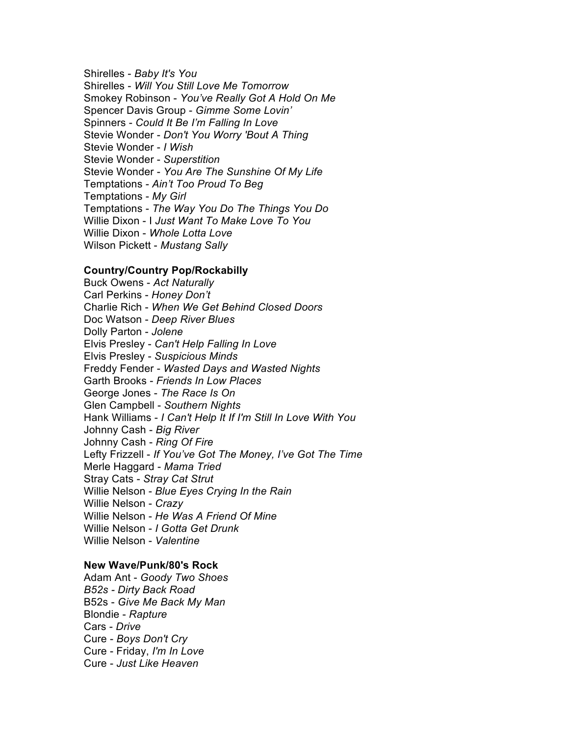Shirelles - *Baby It's You* Shirelles - *Will You Still Love Me Tomorrow* Smokey Robinson - *You've Really Got A Hold On Me* Spencer Davis Group - *Gimme Some Lovin'* Spinners - *Could It Be I'm Falling In Love* Stevie Wonder - *Don't You Worry 'Bout A Thing* Stevie Wonder - *I Wish* Stevie Wonder - *Superstition* Stevie Wonder - *You Are The Sunshine Of My Life* Temptations - *Ain't Too Proud To Beg* Temptations - *My Girl* Temptations - *The Way You Do The Things You Do* Willie Dixon - I *Just Want To Make Love To You* Willie Dixon - *Whole Lotta Love* Wilson Pickett - *Mustang Sally*

### **Country/Country Pop/Rockabilly**

Buck Owens - *Act Naturally* Carl Perkins - *Honey Don't* Charlie Rich - *When We Get Behind Closed Doors* Doc Watson - *Deep River Blues* Dolly Parton - *Jolene* Elvis Presley - *Can't Help Falling In Love* Elvis Presley - *Suspicious Minds* Freddy Fender - *Wasted Days and Wasted Nights* Garth Brooks - *Friends In Low Places* George Jones - *The Race Is On* Glen Campbell - *Southern Nights* Hank Williams - *I Can't Help It If I'm Still In Love With You* Johnny Cash - *Big River* Johnny Cash - *Ring Of Fire* Lefty Frizzell - *If You've Got The Money, I've Got The Time* Merle Haggard - *Mama Tried* Stray Cats - *Stray Cat Strut* Willie Nelson - *Blue Eyes Crying In the Rain* Willie Nelson - *Crazy* Willie Nelson - *He Was A Friend Of Mine* Willie Nelson - *I Gotta Get Drunk* Willie Nelson - *Valentine*

### **New Wave/Punk/80's Rock**

Adam Ant - *Goody Two Shoes B52s - Dirty Back Road* B52s - *Give Me Back My Man* Blondie - *Rapture* Cars - *Drive* Cure - *Boys Don't Cry* Cure - Friday, *I'm In Love* Cure - *Just Like Heaven*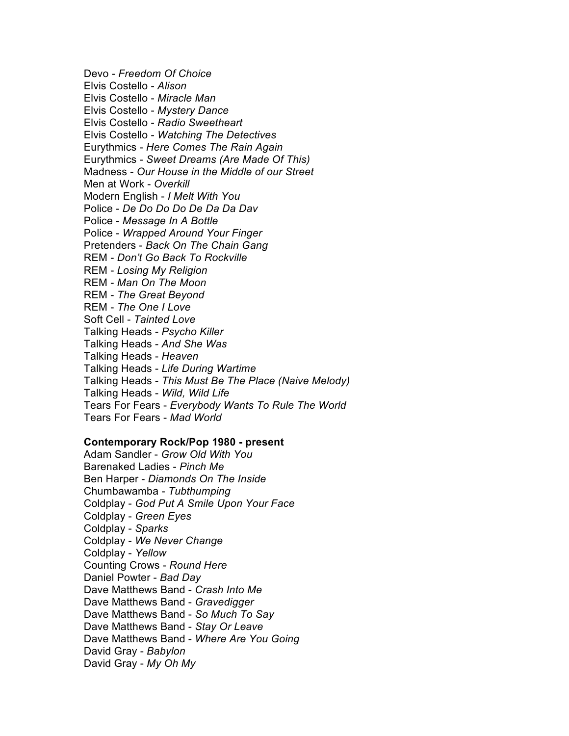Devo - *Freedom Of Choice* Elvis Costello - *Alison* Elvis Costello - *Miracle Man* Elvis Costello - *Mystery Dance* Elvis Costello - *Radio Sweetheart* Elvis Costello - *Watching The Detectives* Eurythmics - *Here Comes The Rain Again* Eurythmics - *Sweet Dreams (Are Made Of This)* Madness - *Our House in the Middle of our Street* Men at Work - *Overkill* Modern English - *I Melt With You* Police - *De Do Do Do De Da Da Dav* Police - *Message In A Bottle* Police - *Wrapped Around Your Finger* Pretenders - *Back On The Chain Gang* REM - *Don't Go Back To Rockville* REM - *Losing My Religion* REM - *Man On The Moon* REM - *The Great Beyond* REM - *The One I Love* Soft Cell - *Tainted Love* Talking Heads - *Psycho Killer* Talking Heads - *And She Was* Talking Heads - *Heaven* Talking Heads - *Life During Wartime* Talking Heads - *This Must Be The Place (Naive Melody)* Talking Heads - *Wild, Wild Life* Tears For Fears - *Everybody Wants To Rule The World* Tears For Fears - *Mad World*

#### **Contemporary Rock/Pop 1980 - present**

Adam Sandler - *Grow Old With You* Barenaked Ladies - *Pinch Me* Ben Harper - *Diamonds On The Inside* Chumbawamba - *Tubthumping* Coldplay - *God Put A Smile Upon Your Face* Coldplay - *Green Eyes* Coldplay - *Sparks* Coldplay - *We Never Change* Coldplay - *Yellow* Counting Crows - *Round Here* Daniel Powter - *Bad Day* Dave Matthews Band - *Crash Into Me* Dave Matthews Band - *Gravedigger* Dave Matthews Band - *So Much To Say* Dave Matthews Band - *Stay Or Leave* Dave Matthews Band - *Where Are You Going* David Gray - *Babylon* David Gray - *My Oh My*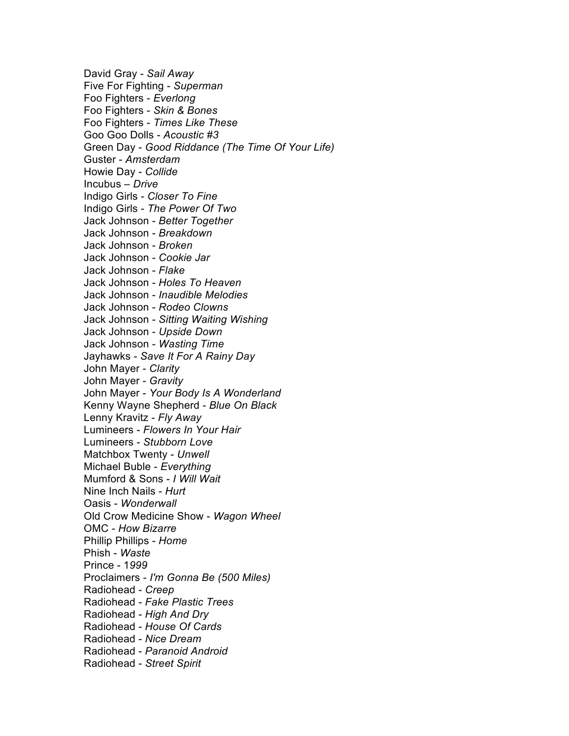David Gray - *Sail Away* Five For Fighting - *Superman* Foo Fighters - *Everlong* Foo Fighters - *Skin & Bones* Foo Fighters - *Times Like These* Goo Goo Dolls - *Acoustic #3* Green Day - *Good Riddance (The Time Of Your Life)* Guster - *Amsterdam* Howie Day - *Collide* Incubus – *Drive* Indigo Girls - *Closer To Fine* Indigo Girls - *The Power Of Two* Jack Johnson - *Better Together* Jack Johnson - *Breakdown* Jack Johnson - *Broken* Jack Johnson - *Cookie Jar* Jack Johnson - *Flake* Jack Johnson - *Holes To Heaven* Jack Johnson - *Inaudible Melodies* Jack Johnson - *Rodeo Clowns* Jack Johnson - *Sitting Waiting Wishing* Jack Johnson - *Upside Down* Jack Johnson - *Wasting Time* Jayhawks - *Save It For A Rainy Day* John Mayer - *Clarity* John Mayer - *Gravity* John Mayer - *Your Body Is A Wonderland* Kenny Wayne Shepherd - *Blue On Black* Lenny Kravitz - *Fly Away* Lumineers - *Flowers In Your Hair* Lumineers - *Stubborn Love* Matchbox Twenty - *Unwell* Michael Buble - *Everything* Mumford & Sons - *I Will Wait* Nine Inch Nails - *Hurt* Oasis - *Wonderwall* Old Crow Medicine Show - *Wagon Wheel* OMC - *How Bizarre* Phillip Phillips - *Home* Phish - *Waste* Prince - 1*999* Proclaimers - *I'm Gonna Be (500 Miles)* Radiohead - *Creep* Radiohead - *Fake Plastic Trees* Radiohead - *High And Dry* Radiohead - *House Of Cards* Radiohead - *Nice Dream* Radiohead - *Paranoid Android* Radiohead - *Street Spirit*